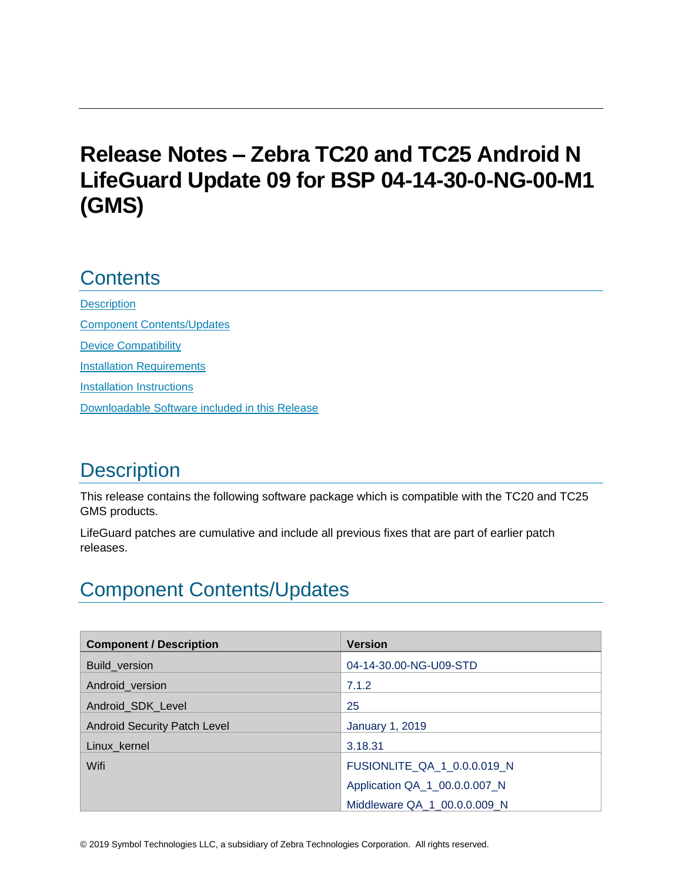# **Release Notes – Zebra TC20 and TC25 Android N LifeGuard Update 09 for BSP 04-14-30-0-NG-00-M1 (GMS)**

## **Contents**

**[Description](#page-0-0)** [Component Contents/Updates](#page-0-1) [Device Compatibility](#page-6-0) **[Installation Requirements](#page-7-0)** [Installation Instructions](#page-8-0) [Downloadable Software included in this Release](#page-9-0) 

# <span id="page-0-0"></span>**Description**

This release contains the following software package which is compatible with the TC20 and TC25 GMS products.

LifeGuard patches are cumulative and include all previous fixes that are part of earlier patch releases.

# <span id="page-0-1"></span>Component Contents/Updates

| <b>Component / Description</b>      | <b>Version</b>                |
|-------------------------------------|-------------------------------|
| Build_version                       | 04-14-30.00-NG-U09-STD        |
| Android_version                     | 7.1.2                         |
| Android_SDK_Level                   | 25                            |
| <b>Android Security Patch Level</b> | <b>January 1, 2019</b>        |
| Linux_kernel                        | 3.18.31                       |
| Wifi                                | FUSIONLITE_QA_1_0.0.0.019_N   |
|                                     | Application QA_1_00.0.0.007_N |
|                                     | Middleware QA_1_00.0.0.009_N  |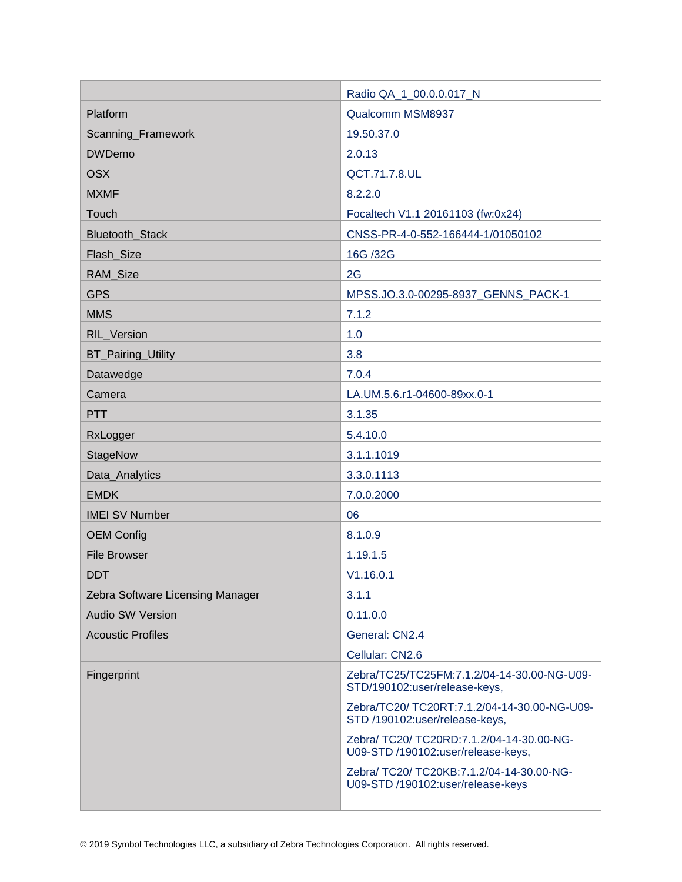|                                  | Radio QA_1_00.0.0.017_N                                                         |  |
|----------------------------------|---------------------------------------------------------------------------------|--|
| Platform                         | Qualcomm MSM8937                                                                |  |
| Scanning_Framework               | 19.50.37.0                                                                      |  |
| <b>DWDemo</b>                    | 2.0.13                                                                          |  |
| <b>OSX</b>                       | QCT.71.7.8.UL                                                                   |  |
| <b>MXMF</b>                      | 8.2.2.0                                                                         |  |
| Touch                            | Focaltech V1.1 20161103 (fw:0x24)                                               |  |
| Bluetooth_Stack                  | CNSS-PR-4-0-552-166444-1/01050102                                               |  |
| Flash_Size                       | 16G /32G                                                                        |  |
| RAM_Size                         | 2G                                                                              |  |
| <b>GPS</b>                       | MPSS.JO.3.0-00295-8937_GENNS_PACK-1                                             |  |
| <b>MMS</b>                       | 7.1.2                                                                           |  |
| RIL_Version                      | 1.0                                                                             |  |
| BT_Pairing_Utility               | 3.8                                                                             |  |
| Datawedge                        | 7.0.4                                                                           |  |
| Camera                           | LA.UM.5.6.r1-04600-89xx.0-1                                                     |  |
| <b>PTT</b>                       | 3.1.35                                                                          |  |
| RxLogger                         | 5.4.10.0                                                                        |  |
| StageNow                         | 3.1.1.1019                                                                      |  |
| Data_Analytics                   | 3.3.0.1113                                                                      |  |
| <b>EMDK</b>                      | 7.0.0.2000                                                                      |  |
| <b>IMEI SV Number</b>            | 06                                                                              |  |
| <b>OEM Config</b>                | 8.1.0.9                                                                         |  |
| <b>File Browser</b>              | 1.19.1.5                                                                        |  |
| <b>DDT</b>                       | V1.16.0.1                                                                       |  |
| Zebra Software Licensing Manager | 3.1.1                                                                           |  |
| <b>Audio SW Version</b>          | 0.11.0.0                                                                        |  |
| <b>Acoustic Profiles</b>         | General: CN2.4                                                                  |  |
|                                  | Cellular: CN2.6                                                                 |  |
| Fingerprint                      | Zebra/TC25/TC25FM:7.1.2/04-14-30.00-NG-U09-<br>STD/190102:user/release-keys,    |  |
|                                  | Zebra/TC20/ TC20RT:7.1.2/04-14-30.00-NG-U09-<br>STD /190102:user/release-keys,  |  |
|                                  | Zebra/ TC20/ TC20RD:7.1.2/04-14-30.00-NG-<br>U09-STD /190102:user/release-keys, |  |
|                                  | Zebra/ TC20/ TC20KB:7.1.2/04-14-30.00-NG-<br>U09-STD /190102:user/release-keys  |  |
|                                  |                                                                                 |  |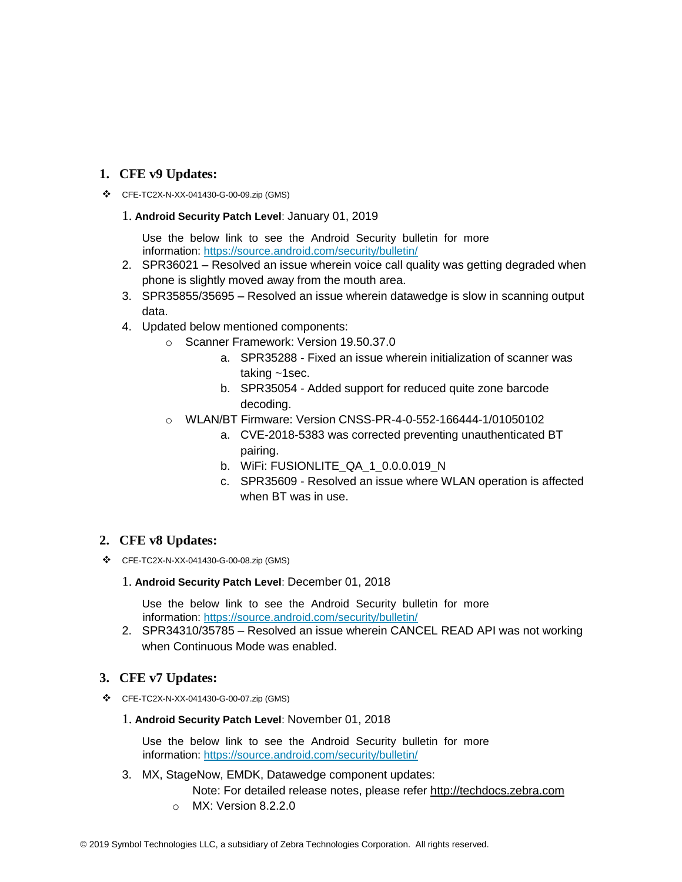#### **1. CFE v9 Updates:**

❖ CFE-TC2X-N-XX-041430-G-00-09.zip (GMS)

#### 1. **Android Security Patch Level**: January 01, 2019

Use the below link to see the Android Security bulletin for more information:<https://source.android.com/security/bulletin/>

- 2. SPR36021 Resolved an issue wherein voice call quality was getting degraded when phone is slightly moved away from the mouth area.
- 3. SPR35855/35695 Resolved an issue wherein datawedge is slow in scanning output data.
- 4. Updated below mentioned components:
	- o Scanner Framework: Version 19.50.37.0
		- a. SPR35288 Fixed an issue wherein initialization of scanner was taking ~1sec.
		- b. SPR35054 Added support for reduced quite zone barcode decoding.
	- o WLAN/BT Firmware: Version CNSS-PR-4-0-552-166444-1/01050102
		- a. CVE-2018-5383 was corrected preventing unauthenticated BT pairing.
		- b. WiFi: FUSIONLITE\_QA\_1\_0.0.0.019\_N
		- c. SPR35609 Resolved an issue where WLAN operation is affected when BT was in use.

#### **2. CFE v8 Updates:**

❖ CFE-TC2X-N-XX-041430-G-00-08.zip (GMS)

#### 1. **Android Security Patch Level**: December 01, 2018

Use the below link to see the Android Security bulletin for more information:<https://source.android.com/security/bulletin/>

2. SPR34310/35785 – Resolved an issue wherein CANCEL READ API was not working when Continuous Mode was enabled.

#### **3. CFE v7 Updates:**

❖ CFE-TC2X-N-XX-041430-G-00-07.zip (GMS)

#### 1. **Android Security Patch Level**: November 01, 2018

Use the below link to see the Android Security bulletin for more information:<https://source.android.com/security/bulletin/>

3. MX, StageNow, EMDK, Datawedge component updates:

Note: For detailed release notes, please refer [http://techdocs.zebra.com](http://techdocs.zebra.com/)

o MX: Version 8.2.2.0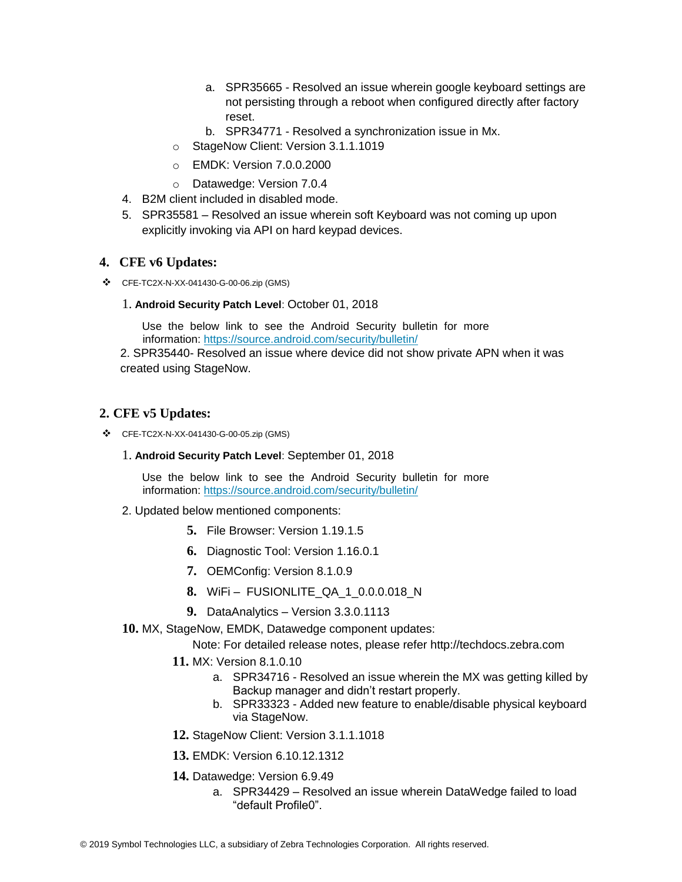- a. SPR35665 Resolved an issue wherein google keyboard settings are not persisting through a reboot when configured directly after factory reset.
- b. SPR34771 Resolved a synchronization issue in Mx.
- o StageNow Client: Version 3.1.1.1019
- o EMDK: Version 7.0.0.2000
- o Datawedge: Version 7.0.4
- 4. B2M client included in disabled mode.
- 5. SPR35581 Resolved an issue wherein soft Keyboard was not coming up upon explicitly invoking via API on hard keypad devices.

#### **4. CFE v6 Updates:**

❖ CFE-TC2X-N-XX-041430-G-00-06.zip (GMS)

#### 1. **Android Security Patch Level**: October 01, 2018

Use the below link to see the Android Security bulletin for more information:<https://source.android.com/security/bulletin/>

2. SPR35440- Resolved an issue where device did not show private APN when it was created using StageNow.

#### **2. CFE v5 Updates:**

- ❖ CFE-TC2X-N-XX-041430-G-00-05.zip (GMS)
	- 1. **Android Security Patch Level**: September 01, 2018

Use the below link to see the Android Security bulletin for more information:<https://source.android.com/security/bulletin/>

- 2. Updated below mentioned components:
	- **5.** File Browser: Version 1.19.1.5
	- **6.** Diagnostic Tool: Version 1.16.0.1
	- **7.** OEMConfig: Version 8.1.0.9
	- **8.** WiFi FUSIONLITE\_QA\_1\_0.0.0.018\_N
	- **9.** DataAnalytics Version 3.3.0.1113
- **10.** MX, StageNow, EMDK, Datawedge component updates:

Note: For detailed release notes, please refer [http://techdocs.zebra.com](http://techdocs.zebra.com/)

- **11.** MX: Version 8.1.0.10
	- a. SPR34716 Resolved an issue wherein the MX was getting killed by Backup manager and didn't restart properly.
	- b. SPR33323 Added new feature to enable/disable physical keyboard via StageNow.
- **12.** StageNow Client: Version 3.1.1.1018
- **13.** EMDK: Version 6.10.12.1312
- **14.** Datawedge: Version 6.9.49
	- a. SPR34429 Resolved an issue wherein DataWedge failed to load "default Profile0".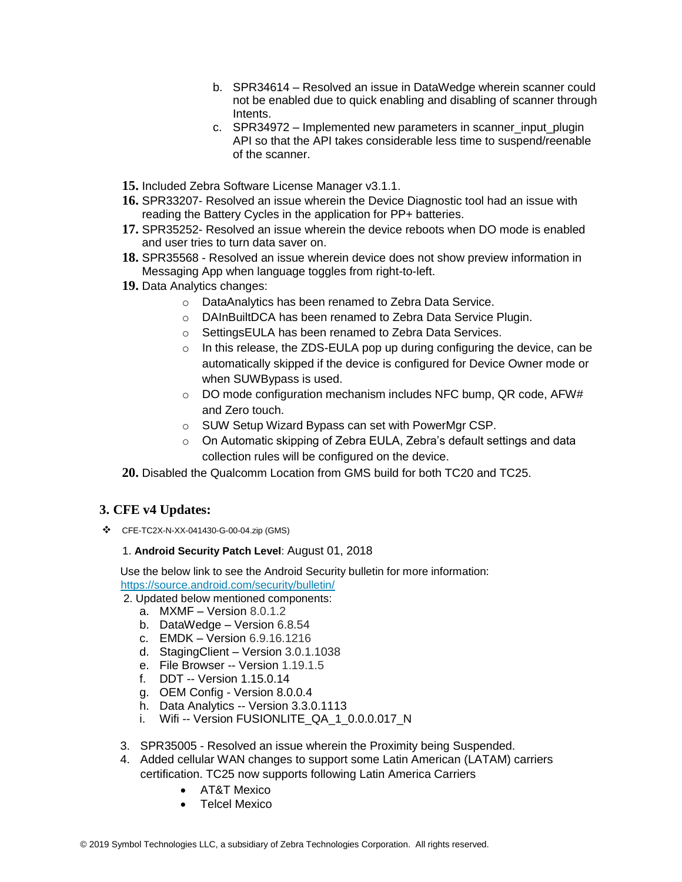- b. SPR34614 Resolved an issue in DataWedge wherein scanner could not be enabled due to quick enabling and disabling of scanner through Intents.
- c. SPR34972 Implemented new parameters in scanner input plugin API so that the API takes considerable less time to suspend/reenable of the scanner.
- **15.** Included Zebra Software License Manager v3.1.1.
- **16.** SPR33207- Resolved an issue wherein the Device Diagnostic tool had an issue with reading the Battery Cycles in the application for PP+ batteries.
- **17.** SPR35252- Resolved an issue wherein the device reboots when DO mode is enabled and user tries to turn data saver on.
- **18.** SPR35568 Resolved an issue wherein device does not show preview information in Messaging App when language toggles from right-to-left.
- **19.** Data Analytics changes:
	- o DataAnalytics has been renamed to Zebra Data Service.
	- o DAInBuiltDCA has been renamed to Zebra Data Service Plugin.
	- o SettingsEULA has been renamed to Zebra Data Services.
	- o In this release, the ZDS-EULA pop up during configuring the device, can be automatically skipped if the device is configured for Device Owner mode or when SUWBypass is used.
	- $\circ$  DO mode configuration mechanism includes NFC bump, QR code, AFW# and Zero touch.
	- o SUW Setup Wizard Bypass can set with PowerMgr CSP.
	- o On Automatic skipping of Zebra EULA, Zebra's default settings and data collection rules will be configured on the device.
- **20.** Disabled the Qualcomm Location from GMS build for both TC20 and TC25.

#### **3. CFE v4 Updates:**

❖ CFE-TC2X-N-XX-041430-G-00-04.zip (GMS)

#### 1. **Android Security Patch Level**: August 01, 2018

Use the below link to see the Android Security bulletin for more information: <https://source.android.com/security/bulletin/>

2. Updated below mentioned components:

- a. MXMF Version 8.0.1.2
- b. DataWedge Version 6.8.54
- c. EMDK Version 6.9.16.1216
- d. StagingClient Version 3.0.1.1038
- e. File Browser -- Version 1.19.1.5
- f. DDT -- Version 1.15.0.14
- g. OEM Config Version 8.0.0.4
- h. Data Analytics -- Version 3.3.0.1113
- i. Wifi -- Version FUSIONLITE\_QA\_1\_0.0.0.017\_N
- 3. SPR35005 Resolved an issue wherein the Proximity being Suspended.
- 4. Added cellular WAN changes to support some Latin American (LATAM) carriers certification. TC25 now supports following Latin America Carriers
	- AT&T Mexico
	- Telcel Mexico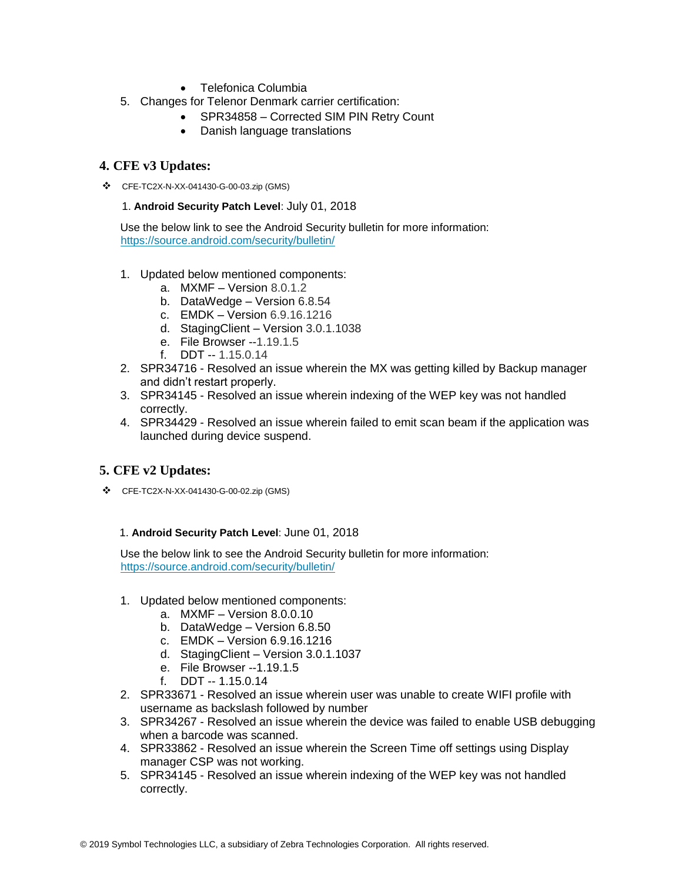- Telefonica Columbia
- 5. Changes for Telenor Denmark carrier certification:
	- SPR34858 Corrected SIM PIN Retry Count
	- Danish language translations

#### **4. CFE v3 Updates:**

❖ CFE-TC2X-N-XX-041430-G-00-03.zip (GMS)

#### 1. **Android Security Patch Level**: July 01, 2018

Use the below link to see the Android Security bulletin for more information: <https://source.android.com/security/bulletin/>

#### 1. Updated below mentioned components:

- a. MXMF Version 8.0.1.2
- b. DataWedge Version 6.8.54
- c. EMDK Version 6.9.16.1216
- d. StagingClient Version 3.0.1.1038
- e. File Browser --1.19.1.5
- f. DDT -- 1.15.0.14
- 2. SPR34716 Resolved an issue wherein the MX was getting killed by Backup manager and didn't restart properly.
- 3. SPR34145 Resolved an issue wherein indexing of the WEP key was not handled correctly.
- 4. SPR34429 Resolved an issue wherein failed to emit scan beam if the application was launched during device suspend.

#### **5. CFE v2 Updates:**

❖ CFE-TC2X-N-XX-041430-G-00-02.zip (GMS)

#### 1. **Android Security Patch Level**: June 01, 2018

Use the below link to see the Android Security bulletin for more information: <https://source.android.com/security/bulletin/>

- 1. Updated below mentioned components:
	- a. MXMF Version 8.0.0.10
	- b. DataWedge Version 6.8.50
	- c. EMDK Version 6.9.16.1216
	- d. StagingClient Version 3.0.1.1037
	- e. File Browser --1.19.1.5
	- f. DDT -- 1.15.0.14
- 2. SPR33671 Resolved an issue wherein user was unable to create WIFI profile with username as backslash followed by number
- 3. SPR34267 Resolved an issue wherein the device was failed to enable USB debugging when a barcode was scanned.
- 4. SPR33862 Resolved an issue wherein the Screen Time off settings using Display manager CSP was not working.
- 5. SPR34145 Resolved an issue wherein indexing of the WEP key was not handled correctly.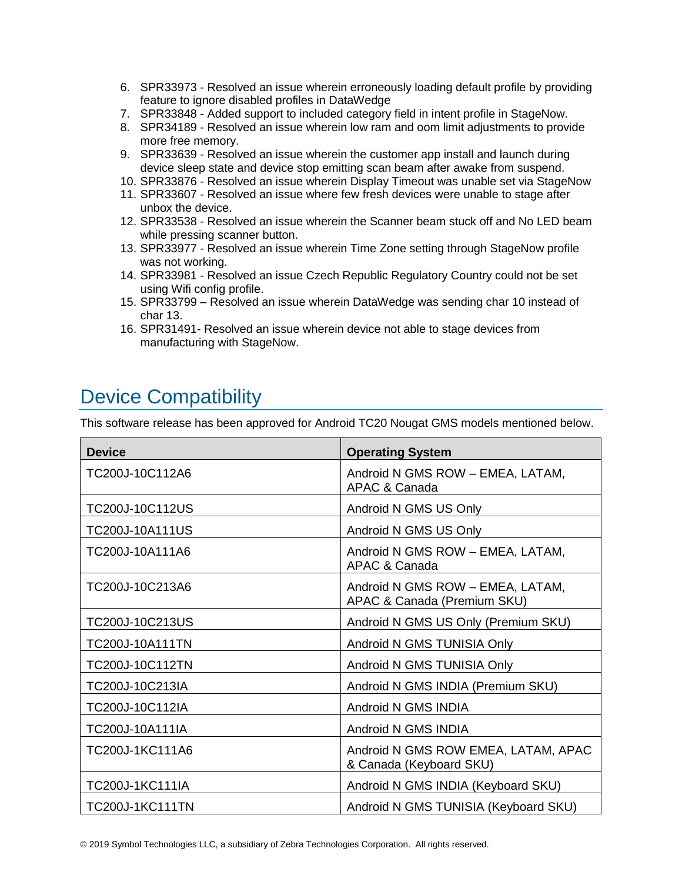- 6. SPR33973 Resolved an issue wherein erroneously loading default profile by providing feature to ignore disabled profiles in DataWedge
- 7. SPR33848 Added support to included category field in intent profile in StageNow.
- 8. SPR34189 Resolved an issue wherein low ram and oom limit adjustments to provide more free memory.
- 9. SPR33639 Resolved an issue wherein the customer app install and launch during device sleep state and device stop emitting scan beam after awake from suspend.
- 10. SPR33876 Resolved an issue wherein Display Timeout was unable set via StageNow
- 11. SPR33607 Resolved an issue where few fresh devices were unable to stage after unbox the device.
- 12. SPR33538 Resolved an issue wherein the Scanner beam stuck off and No LED beam while pressing scanner button.
- 13. SPR33977 Resolved an issue wherein Time Zone setting through StageNow profile was not working.
- 14. SPR33981 Resolved an issue Czech Republic Regulatory Country could not be set using Wifi config profile.
- 15. SPR33799 Resolved an issue wherein DataWedge was sending char 10 instead of char 13.
- 16. SPR31491- Resolved an issue wherein device not able to stage devices from manufacturing with StageNow.

## <span id="page-6-0"></span>Device Compatibility

This software release has been approved for Android TC20 Nougat GMS models mentioned below.

| <b>Device</b>          | <b>Operating System</b>                                         |
|------------------------|-----------------------------------------------------------------|
| TC200J-10C112A6        | Android N GMS ROW - EMEA, LATAM,<br>APAC & Canada               |
| TC200J-10C112US        | Android N GMS US Only                                           |
| TC200J-10A111US        | Android N GMS US Only                                           |
| TC200J-10A111A6        | Android N GMS ROW - EMEA, LATAM,<br>APAC & Canada               |
| TC200J-10C213A6        | Android N GMS ROW - EMEA, LATAM,<br>APAC & Canada (Premium SKU) |
| TC200J-10C213US        | Android N GMS US Only (Premium SKU)                             |
| TC200J-10A111TN        | Android N GMS TUNISIA Only                                      |
| TC200J-10C112TN        | Android N GMS TUNISIA Only                                      |
| TC200J-10C213IA        | Android N GMS INDIA (Premium SKU)                               |
| TC200J-10C112IA        | Android N GMS INDIA                                             |
| TC200J-10A111IA        | Android N GMS INDIA                                             |
| TC200J-1KC111A6        | Android N GMS ROW EMEA, LATAM, APAC<br>& Canada (Keyboard SKU)  |
| TC200J-1KC111IA        | Android N GMS INDIA (Keyboard SKU)                              |
| <b>TC200J-1KC111TN</b> | Android N GMS TUNISIA (Keyboard SKU)                            |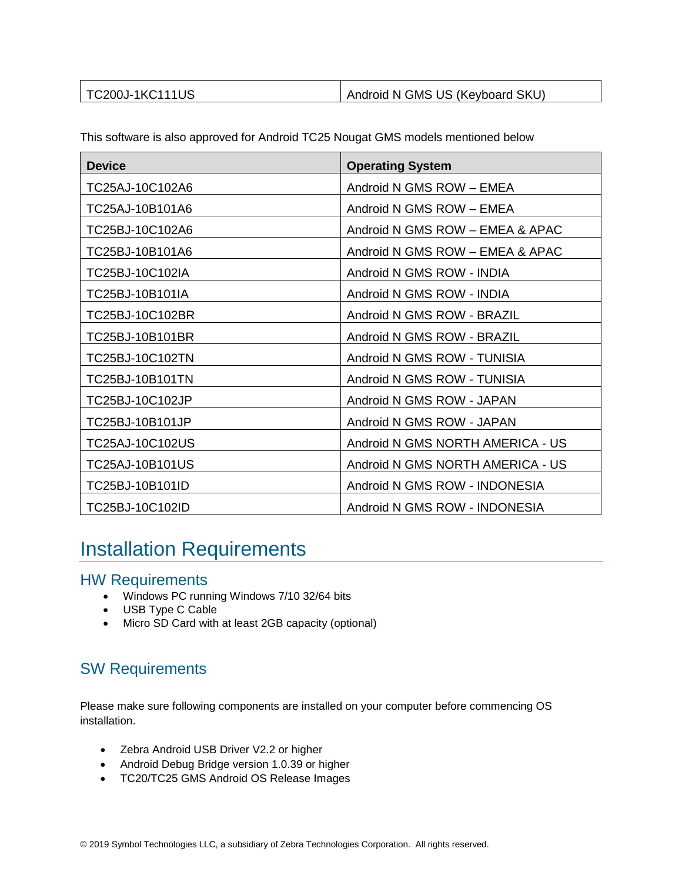| <b>TC200J-1KC111US</b> | Android N GMS US (Keyboard SKU) |
|------------------------|---------------------------------|
|                        |                                 |

|  | This software is also approved for Android TC25 Nougat GMS models mentioned below |
|--|-----------------------------------------------------------------------------------|
|  |                                                                                   |

| <b>Device</b>   | <b>Operating System</b>          |
|-----------------|----------------------------------|
| TC25AJ-10C102A6 | Android N GMS ROW - EMEA         |
| TC25AJ-10B101A6 | Android N GMS ROW - EMEA         |
| TC25BJ-10C102A6 | Android N GMS ROW - EMEA & APAC  |
| TC25BJ-10B101A6 | Android N GMS ROW - EMEA & APAC  |
| TC25BJ-10C102IA | Android N GMS ROW - INDIA        |
| TC25BJ-10B101IA | Android N GMS ROW - INDIA        |
| TC25BJ-10C102BR | Android N GMS ROW - BRAZIL       |
| TC25BJ-10B101BR | Android N GMS ROW - BRAZIL       |
| TC25BJ-10C102TN | Android N GMS ROW - TUNISIA      |
| TC25BJ-10B101TN | Android N GMS ROW - TUNISIA      |
| TC25BJ-10C102JP | Android N GMS ROW - JAPAN        |
| TC25BJ-10B101JP | Android N GMS ROW - JAPAN        |
| TC25AJ-10C102US | Android N GMS NORTH AMERICA - US |
| TC25AJ-10B101US | Android N GMS NORTH AMERICA - US |
| TC25BJ-10B101ID | Android N GMS ROW - INDONESIA    |
| TC25BJ-10C102ID | Android N GMS ROW - INDONESIA    |

## <span id="page-7-0"></span>Installation Requirements

### HW Requirements

- Windows PC running Windows 7/10 32/64 bits
- USB Type C Cable
- Micro SD Card with at least 2GB capacity (optional)

### SW Requirements

Please make sure following components are installed on your computer before commencing OS installation.

- Zebra Android USB Driver V2.2 or higher
- Android Debug Bridge version 1.0.39 or higher
- TC20/TC25 GMS Android OS Release Images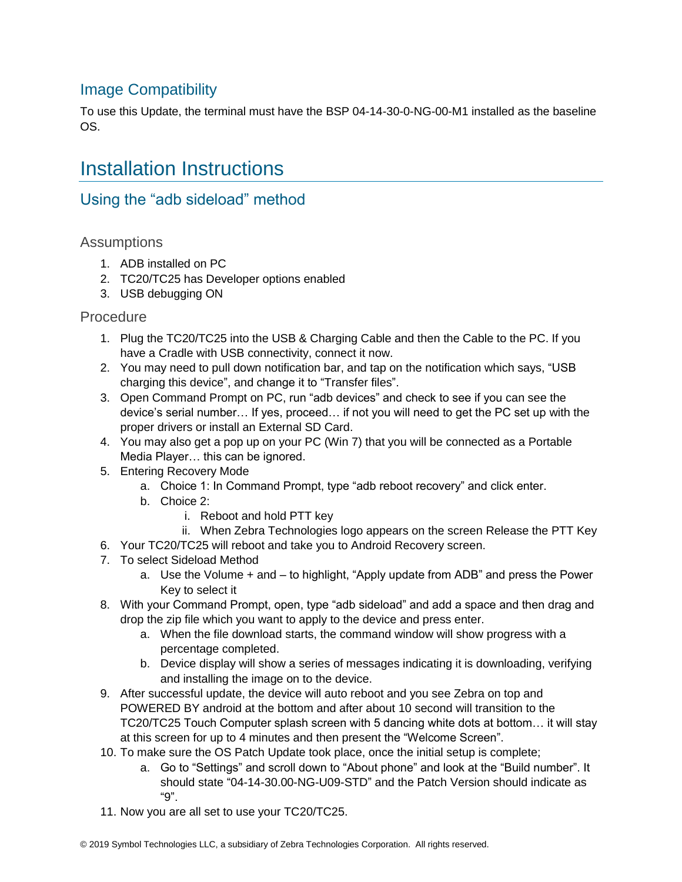### Image Compatibility

To use this Update, the terminal must have the BSP 04-14-30-0-NG-00-M1 installed as the baseline OS.

## <span id="page-8-0"></span>Installation Instructions

### Using the "adb sideload" method

#### **Assumptions**

- 1. ADB installed on PC
- 2. TC20/TC25 has Developer options enabled
- 3. USB debugging ON

#### Procedure

- 1. Plug the TC20/TC25 into the USB & Charging Cable and then the Cable to the PC. If you have a Cradle with USB connectivity, connect it now.
- 2. You may need to pull down notification bar, and tap on the notification which says, "USB charging this device", and change it to "Transfer files".
- 3. Open Command Prompt on PC, run "adb devices" and check to see if you can see the device's serial number… If yes, proceed… if not you will need to get the PC set up with the proper drivers or install an External SD Card.
- 4. You may also get a pop up on your PC (Win 7) that you will be connected as a Portable Media Player… this can be ignored.
- 5. Entering Recovery Mode
	- a. Choice 1: In Command Prompt, type "adb reboot recovery" and click enter.
	- b. Choice 2:
		- i. Reboot and hold PTT key
- ii. When Zebra Technologies logo appears on the screen Release the PTT Key
- 6. Your TC20/TC25 will reboot and take you to Android Recovery screen.
- 7. To select Sideload Method
	- a. Use the Volume + and to highlight, "Apply update from ADB" and press the Power Key to select it
- 8. With your Command Prompt, open, type "adb sideload" and add a space and then drag and drop the zip file which you want to apply to the device and press enter.
	- a. When the file download starts, the command window will show progress with a percentage completed.
	- b. Device display will show a series of messages indicating it is downloading, verifying and installing the image on to the device.
- 9. After successful update, the device will auto reboot and you see Zebra on top and POWERED BY android at the bottom and after about 10 second will transition to the TC20/TC25 Touch Computer splash screen with 5 dancing white dots at bottom… it will stay at this screen for up to 4 minutes and then present the "Welcome Screen".
- 10. To make sure the OS Patch Update took place, once the initial setup is complete;
	- a. Go to "Settings" and scroll down to "About phone" and look at the "Build number". It should state "04-14-30.00-NG-U09-STD" and the Patch Version should indicate as "9".
- 11. Now you are all set to use your TC20/TC25.